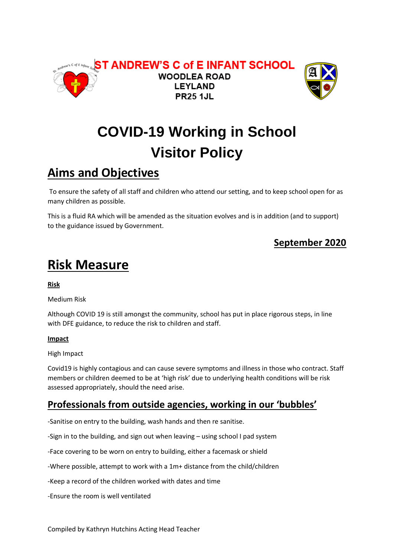



# **COVID-19 Working in School Visitor Policy**

## **Aims and Objectives**

To ensure the safety of all staff and children who attend our setting, and to keep school open for as many children as possible.

This is a fluid RA which will be amended as the situation evolves and is in addition (and to support) to the guidance issued by Government.

### **September 2020**

# **Risk Measure**

**Risk**

Medium Risk

Although COVID 19 is still amongst the community, school has put in place rigorous steps, in line with DFE guidance, to reduce the risk to children and staff.

#### **Impact**

High Impact

Covid19 is highly contagious and can cause severe symptoms and illness in those who contract. Staff members or children deemed to be at 'high risk' due to underlying health conditions will be risk assessed appropriately, should the need arise.

### **Professionals from outside agencies, working in our 'bubbles'**

-Sanitise on entry to the building, wash hands and then re sanitise.

-Sign in to the building, and sign out when leaving – using school I pad system

-Face covering to be worn on entry to building, either a facemask or shield

-Where possible, attempt to work with a 1m+ distance from the child/children

-Keep a record of the children worked with dates and time

-Ensure the room is well ventilated

Compiled by Kathryn Hutchins Acting Head Teacher